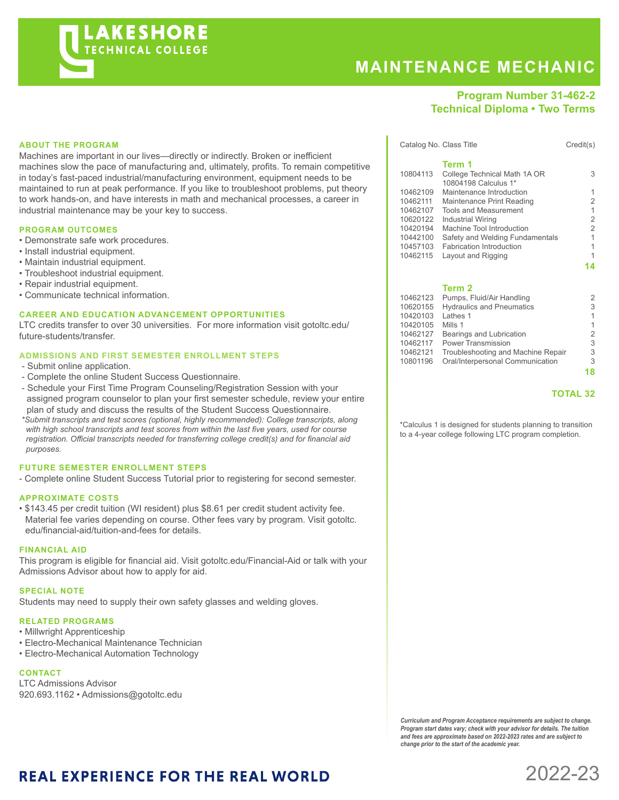

# **MAINTENANCE MECHANIC**

### **Program Number 31-462-2 Technical Diploma • Two Terms**

#### **ABOUT THE PROGRAM**

Machines are important in our lives—directly or indirectly. Broken or inefficient machines slow the pace of manufacturing and, ultimately, profits. To remain competitive in today's fast-paced industrial/manufacturing environment, equipment needs to be maintained to run at peak performance. If you like to troubleshoot problems, put theory to work hands-on, and have interests in math and mechanical processes, a career in industrial maintenance may be your key to success.

#### **PROGRAM OUTCOMES**

- Demonstrate safe work procedures.
- Install industrial equipment.
- Maintain industrial equipment.
- Troubleshoot industrial equipment.
- Repair industrial equipment.
- Communicate technical information.

#### **CAREER AND EDUCATION ADVANCEMENT OPPORTUNITIES**

LTC credits transfer to over 30 universities. For more information visit gotoltc.edu/ future-students/transfer.

#### **ADMISSIONS AND FIRST SEMESTER ENROLLMENT STEPS**

- Submit online application.
- Complete the online Student Success Questionnaire.
- Schedule your First Time Program Counseling/Registration Session with your assigned program counselor to plan your first semester schedule, review your entire plan of study and discuss the results of the Student Success Questionnaire.
- *\*Submit transcripts and test scores (optional, highly recommended): College transcripts, along with high school transcripts and test scores from within the last five years, used for course registration. Official transcripts needed for transferring college credit(s) and for financial aid purposes.*

#### **FUTURE SEMESTER ENROLLMENT STEPS**

- Complete online Student Success Tutorial prior to registering for second semester.

#### **APPROXIMATE COSTS**

• \$143.45 per credit tuition (WI resident) plus \$8.61 per credit student activity fee. Material fee varies depending on course. Other fees vary by program. Visit gotoltc. edu/financial-aid/tuition-and-fees for details.

#### **FINANCIAL AID**

This program is eligible for financial aid. Visit gotoltc.edu/Financial-Aid or talk with your Admissions Advisor about how to apply for aid.

#### **SPECIAL NOTE**

Students may need to supply their own safety glasses and welding gloves.

#### **RELATED PROGRAMS**

- Millwright Apprenticeship
- Electro-Mechanical Maintenance Technician
- Electro-Mechanical Automation Technology

#### **CONTACT**

LTC Admissions Advisor 920.693.1162 • Admissions@gotoltc.edu

Catalog No. Class Title Credit(s) **Term 1** 10804113 College Technical Math 1A OR 3 10804198 Calculus 1\* 10462109 Maintenance Introduction 1<br>10462111 Maintenance Print Reading 2 10462111 Maintenance Print Reading 2<br>10462107 Tools and Measurement 1 10462107 Tools and Measurement 1<br>10620122 Industrial Wiring 1 11 Industrial Wiring<br>
Machine Tool Introduction<br>
2 10420194 Machine Tool Introduction<br>10442100 Safety and Welding Fundamentals 1 10442100 Safety and Welding Fundamentals 1 10457103 Fabrication Introduction 1 10462115 Layout and Rigging 1

**14**

#### **Term 2**

| 10462123 | Pumps, Fluid/Air Handling          | 2  |
|----------|------------------------------------|----|
| 10620155 | <b>Hydraulics and Pneumatics</b>   | 3  |
| 10420103 | Lathes 1                           | 1  |
| 10420105 | Mills 1                            | 1  |
| 10462127 | Bearings and Lubrication           | 2  |
| 10462117 | <b>Power Transmission</b>          | 3  |
| 10462121 | Troubleshooting and Machine Repair | 3  |
| 10801196 | Oral/Interpersonal Communication   | 3  |
|          |                                    | 18 |
|          |                                    |    |

#### **TOTAL 32**

\*Calculus 1 is designed for students planning to transition to a 4-year college following LTC program completion.

*Curriculum and Program Acceptance requirements are subject to change. Program start dates vary; check with your advisor for details. The tuition and fees are approximate based on 2022-2023 rates and are subject to change prior to the start of the academic year.* 

2022-23

## **REAL EXPERIENCE FOR THE REAL WORLD**